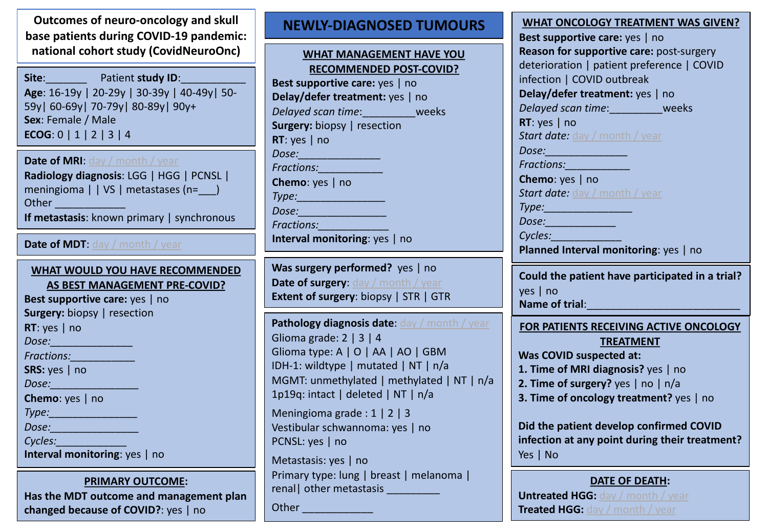**Outcomes of neuro-oncology and skull base patients during COVID-19 pandemic: national cohort study (CovidNeuroOnc)** 

Site: **Site**: Patient **study ID**: **Age**: 16-19y | 20-29y | 30-39y | 40-49y| 50- 59y| 60-69y| 70-79y| 80-89y| 90y+ **Sex**: Female / Male **ECOG**: 0 | 1 | 2 | 3 | 4

**Date of MRI: day / month / year Radiology diagnosis**: LGG | HGG | PCNSL | meningioma | | VS | metastases (n= \_\_) Other **and the set of the set of the set of the set of the set of the set of the set of the set of the set of t If metastasis**: known primary | synchronous

### **Date of MDT**: day / month / year

### **WHAT WOULD YOU HAVE RECOMMENDED AS BEST MANAGEMENT PRE-COVID?**

**Best supportive care:** yes | no **Surgery:** biopsy | resection **RT**: yes | no *Dose:\_\_\_\_\_\_\_\_\_\_\_\_\_\_ Fractions:\_\_\_\_\_\_\_\_\_\_\_* **SRS:** yes | no *Dose:\_\_\_\_\_\_\_\_\_\_\_\_\_\_\_* **Chemo**: yes | no *Type:\_\_\_\_\_\_\_\_\_\_\_\_\_\_\_ Dose:\_\_\_\_\_\_\_\_\_\_\_\_\_\_\_ Cycles:\_\_\_\_\_\_\_\_\_\_\_\_* **Interval monitoring**: yes | no

### **PRIMARY OUTCOME:**

**Has the MDT outcome and management plan changed because of COVID?**: yes | no

# **NEWLY-DIAGNOSED TUMOURS**

## **WHAT MANAGEMENT HAVE YOU RECOMMENDED POST-COVID?**

**Best supportive care:** yes | no **Delay/defer treatment:** yes | no *Delayed scan time*:\_\_\_\_\_\_\_\_\_weeks **Surgery:** biopsy | resection **RT**: yes | no *Dose:\_\_\_\_\_\_\_\_\_\_\_\_\_\_ Fractions:\_\_\_\_\_\_\_\_\_\_\_* **Chemo**: yes | no *Type:\_\_\_\_\_\_\_\_\_\_\_\_\_\_\_ Dose:\_\_\_\_\_\_\_\_\_\_\_\_\_\_\_ Fractions:\_\_\_\_\_\_\_\_\_\_\_\_* **Interval monitoring**: yes | no

**Was surgery performed?** yes | no **Date of surgery:** day / month / year **Extent of surgery**: biopsy | STR | GTR

**Pathology diagnosis date:** day / month / year Glioma grade: 2 | 3 | 4 Glioma type: A | O | AA | AO | GBM IDH-1: wildtype | mutated | NT | n/a MGMT: unmethylated | methylated | NT | n/a 1p19q: intact | deleted | NT | n/a Meningioma grade : 1 | 2 | 3 Vestibular schwannoma: yes | no PCNSL: yes | no Metastasis: yes | no Primary type: lung | breast | melanoma | renal | other metastasis

Other **with the contract of the contract of the contract of the contract of the contract of the contract of the contract of the contract of the contract of the contract of the contract of the contract of the contract of th** 

| <b>WHAT ONCOLOGY TREATMENT WAS GIVEN</b>   |
|--------------------------------------------|
| Best supportive care: yes   no             |
| Reason for supportive care: post-surgery   |
| deterioration   patient preference   COVID |
| infection   COVID outbreak                 |
| Delay/defer treatment: yes   no            |
| Delayed scan time:<br>weeks                |
| RT: yes $ $ no                             |
| <b>Start date:</b> day / month / year      |
| Dose:                                      |
| <b>Fractions:</b>                          |
| Chemo: yes   no                            |
| <b>Start date:</b> day / month / year      |
| $T_{11}$                                   |

*Type:\_\_\_\_\_\_\_\_\_\_\_\_\_\_\_ Dose:\_\_\_\_\_\_\_\_\_\_\_\_*

*Cycles:\_\_\_\_\_\_\_\_\_\_\_\_*

**Planned Interval monitoring**: yes | no

**Could the patient have participated in a trial?** yes | no Name of trial:

**FOR PATIENTS RECEIVING ACTIVE ONCOLOGY** 

### **TREATMENT**

**Was COVID suspected at:**

- **1. Time of MRI diagnosis?** yes | no
- **2. Time of surgery?** yes | no | n/a
- **3. Time of oncology treatment?** yes | no

**Did the patient develop confirmed COVID infection at any point during their treatment?**  Yes | No

# **DATE OF DEATH:**

**Untreated HGG: day / month / year Treated HGG:** day / month / year